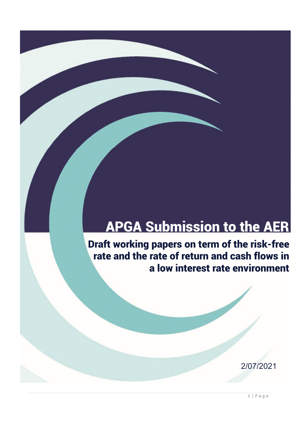# APGA Submission to the AER

Draft working papers on term of the risk-free rate and the rate of return and cash flows in a low interest rate environment

2/07/2021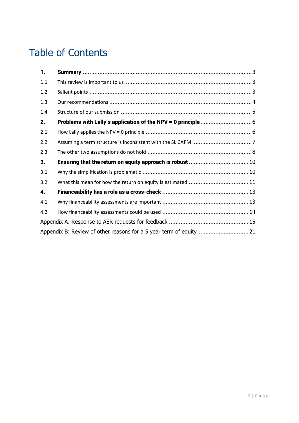## Table of Contents

| 1.  |  |
|-----|--|
| 1.1 |  |
| 1.2 |  |
| 1.3 |  |
| 1.4 |  |
| 2.  |  |
| 2.1 |  |
| 2.2 |  |
| 2.3 |  |
| 3.  |  |
| 3.1 |  |
| 3.2 |  |
| 4.  |  |
| 4.1 |  |
| 4.2 |  |
|     |  |
|     |  |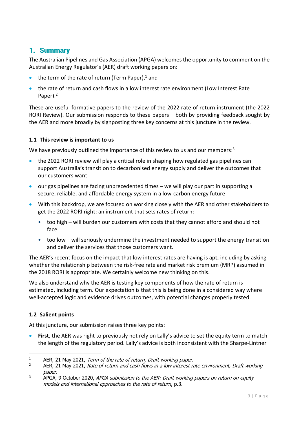### 1. Summary

The Australian Pipelines and Gas Association (APGA) welcomes the opportunity to comment on the Australian Energy Regulator's (AER) draft working papers on:

- $\bullet$  the term of the rate of return (Term Paper),<sup>1</sup> and
- the rate of return and cash flows in a low interest rate environment (Low Interest Rate Paper).<sup>2</sup>

These are useful formative papers to the review of the 2022 rate of return instrument (the 2022 RORI Review). Our submission responds to these papers – both by providing feedback sought by the AER and more broadly by signposting three key concerns at this juncture in the review.

#### **1.1 This review is important to us**

We have previously outlined the importance of this review to us and our members:<sup>3</sup>

- the 2022 RORI review will play a critical role in shaping how regulated gas pipelines can support Australia's transition to decarbonised energy supply and deliver the outcomes that our customers want
- our gas pipelines are facing unprecedented times we will play our part in supporting a secure, reliable, and affordable energy system in a low-carbon energy future
- With this backdrop, we are focused on working closely with the AER and other stakeholders to get the 2022 RORI right; an instrument that sets rates of return:
	- too high will burden our customers with costs that they cannot afford and should not face
	- too low will seriously undermine the investment needed to support the energy transition and deliver the services that those customers want.

The AER's recent focus on the impact that low interest rates are having is apt, including by asking whether the relationship between the risk-free rate and market risk premium (MRP) assumed in the 2018 RORI is appropriate. We certainly welcome new thinking on this.

We also understand why the AER is testing key components of how the rate of return is estimated, including term. Our expectation is that this is being done in a considered way where well-accepted logic and evidence drives outcomes, with potential changes properly tested.

#### **1.2 Salient points**

At this juncture, our submission raises three key points:

 **First**, the AER was right to previously not rely on Lally's advice to set the equity term to match the length of the regulatory period. Lally's advice is both inconsistent with the Sharpe-Lintner

<sup>&</sup>lt;sup>1</sup> AER, 21 May 2021, Term of the rate of return, Draft working paper.

AER, 21 May 2021, Rate of return and cash flows in a low interest rate environment, Draft working paper.

 $3$  APGA, 9 October 2020, APGA submission to the AER: Draft working papers on return on equity models and international approaches to the rate of return, p.3.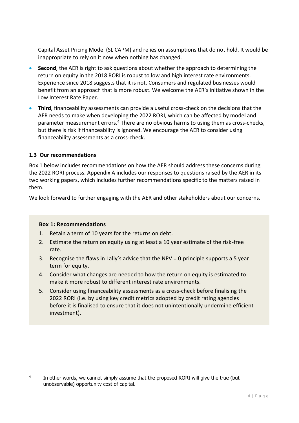Capital Asset Pricing Model (SL CAPM) and relies on assumptions that do not hold. It would be inappropriate to rely on it now when nothing has changed.

- **Second**, the AER is right to ask questions about whether the approach to determining the return on equity in the 2018 RORI is robust to low and high interest rate environments. Experience since 2018 suggests that it is not. Consumers and regulated businesses would benefit from an approach that is more robust. We welcome the AER's initiative shown in the Low Interest Rate Paper.
- **Third**, financeability assessments can provide a useful cross-check on the decisions that the AER needs to make when developing the 2022 RORI, which can be affected by model and parameter measurement errors.<sup>4</sup> There are no obvious harms to using them as cross-checks, but there is risk if financeability is ignored. We encourage the AER to consider using financeability assessments as a cross-check.

#### **1.3 Our recommendations**

Box 1 below includes recommendations on how the AER should address these concerns during the 2022 RORI process. Appendix A includes our responses to questions raised by the AER in its two working papers, which includes further recommendations specific to the matters raised in them.

We look forward to further engaging with the AER and other stakeholders about our concerns.

#### **Box 1: Recommendations**

- 1. Retain a term of 10 years for the returns on debt.
- 2. Estimate the return on equity using at least a 10 year estimate of the risk-free rate.
- 3. Recognise the flaws in Lally's advice that the NPV = 0 principle supports a 5 year term for equity.
- 4. Consider what changes are needed to how the return on equity is estimated to make it more robust to different interest rate environments.
- 5. Consider using financeability assessments as a cross-check before finalising the 2022 RORI (i.e. by using key credit metrics adopted by credit rating agencies before it is finalised to ensure that it does not unintentionally undermine efficient investment).

<sup>4</sup> In other words, we cannot simply assume that the proposed RORI will give the true (but unobservable) opportunity cost of capital.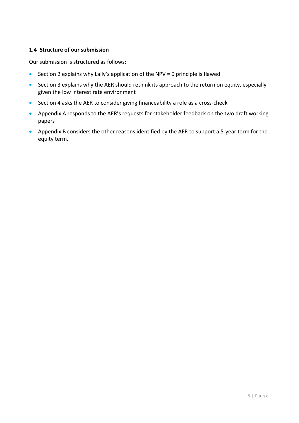#### **1.4 Structure of our submission**

Our submission is structured as follows:

- Section 2 explains why Lally's application of the NPV = 0 principle is flawed
- Section 3 explains why the AER should rethink its approach to the return on equity, especially given the low interest rate environment
- Section 4 asks the AER to consider giving financeability a role as a cross-check
- Appendix A responds to the AER's requests for stakeholder feedback on the two draft working papers
- Appendix B considers the other reasons identified by the AER to support a 5-year term for the equity term.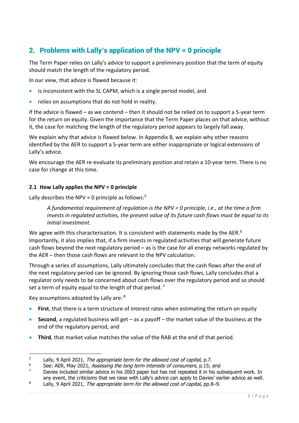## 2. Problems with Lally's application of the NPV = 0 principle

The Term Paper relies on Lally's advice to support a preliminary position that the term of equity should match the length of the regulatory period.

In our view, that advice is flawed because it:

- is inconsistent with the SL CAPM, which is a single period model, and
- relies on assumptions that do not hold in reality.

If the advice is flawed – as we contend – then it should not be relied on to support a 5-year term for the return on equity. Given the importance that the Term Paper places on that advice, without it, the case for matching the length of the regulatory period appears to largely fall away.

We explain why that advice is flawed below. In Appendix B, we explain why other reasons identified by the AER to support a 5-year term are either inappropriate or logical extensions of Lally's advice.

We encourage the AER re-evaluate its preliminary position and retain a 10-year term. There is no case for change at this time.

#### **2.1 How Lally applies the NPV = 0 principle**

Lally describes the NPV = 0 principle as follows:<sup>5</sup>

*A fundamental requirement of regulation is the NPV = 0 principle, i.e., at the time a firm invests in regulated activities, the present value of its future cash flows must be equal to its initial investment.*

We agree with this characterisation. It is consistent with statements made by the AER.<sup>6</sup> Importantly, it also implies that, if a firm invests in regulated activities that will generate future cash flows beyond the next regulatory period – as is the case for all energy networks regulated by the AER – then those cash flows are relevant to the NPV calculation.

Through a series of assumptions, Lally ultimately concludes that the cash flows after the end of the next regulatory period can be ignored. By ignoring those cash flows, Lally concludes that a regulator only needs to be concerned about cash flows over the regulatory period and so should set a term of equity equal to the length of that period.<sup>7</sup>

Key assumptions adopted by Lally are: <sup>8</sup>

- **First**, that there is a term structure of interest rates when estimating the return on equity
- **Second**, a regulated business will get as a payoff the market value of the business at the end of the regulatory period, and
- **Third**, that market value matches the value of the RAB at the end of that period.

<sup>&</sup>lt;sup>5</sup> Lally, 9 April 2021, *The appropriate term for the allowed cost of capital*, p.7.<br><sup>5</sup> See AFP May 2021, *Associng the long term interests of consumers* p.15.

<sup>&</sup>lt;sup>6</sup> See: AER, May 2021, *Assessing the long term interests of consumers*, p.15; and  $\frac{7}{2}$  Davies included similar advice in his 2003 paper but has not repeated it in his sup

Davies included similar advice in his 2003 paper but has not repeated it in his subsequent work. In any event, the criticisms that we raise with Lally's advice can apply to Davies' earlier advice as well.

<sup>8</sup> Lally, 9 April 2021, The appropriate term for the allowed cost of capital, pp.8–9.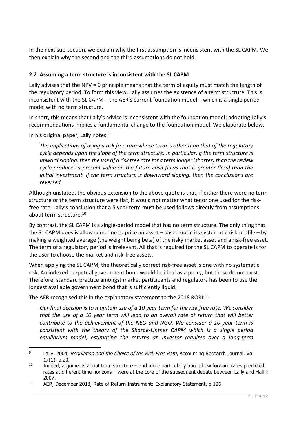In the next sub-section, we explain why the first assumption is inconsistent with the SL CAPM. We then explain why the second and the third assumptions do not hold.

#### **2.2 Assuming a term structure is inconsistent with the SL CAPM**

Lally advises that the NPV = 0 principle means that the term of equity must match the length of the regulatory period. To form this view, Lally assumes the existence of a term structure. This is inconsistent with the SL CAPM – the AER's current foundation model – which is a single period model with no term structure.

In short, this means that Lally's advice is inconsistent with the foundation model; adopting Lally's recommendations implies a fundamental change to the foundation model. We elaborate below.

In his original paper, Lally notes: 9

*The implications of using a risk free rate whose term is other than that of the regulatory cycle depends upon the slope of the term structure. In particular, if the term structure is upward sloping, then the use of a risk free rate for a term longer (shorter) than the review cycle produces a present value on the future cash flows that is greater (less) than the initial investment. If the term structure is downward sloping, then the conclusions are reversed.*

Although unstated, the obvious extension to the above quote is that, if either there were no term structure or the term structure were flat, it would not matter what tenor one used for the riskfree rate. Lally's conclusion that a 5 year term must be used follows directly from assumptions about term structure. 10

By contrast, the SL CAPM is a single-period model that has no term structure. The only thing that the SL CAPM does is allow someone to price an asset – based upon its systematic risk-profile – by making a weighted average (the weight being beta) of the risky market asset and a risk-free asset. The term of a regulatory period is irrelevant. All that is required for the SL CAPM to operate is for the user to choose the market and risk-free assets.

When applying the SL CAPM, the theoretically correct risk-free asset is one with no systematic risk. An indexed perpetual government bond would be ideal as a proxy, but these do not exist. Therefore, standard practice amongst market participants and regulators has been to use the longest available government bond that is sufficiently liquid.

The AER recognised this in the explanatory statement to the 2018 RORI:<sup>11</sup>

*Our final decision is to maintain use of a 10 year term for the risk free rate. We consider that the use of a 10 year term will lead to an overall rate of return that will better contribute to the achievement of the NEO and NGO. We consider a 10 year term is consistent with the theory of the Sharpe-Lintner CAPM which is a single period equilibrium model, estimating the returns an investor requires over a long-term* 

<sup>&</sup>lt;sup>9</sup> Lally, 2004, Regulation and the Choice of the Risk Free Rate, Accounting Research Journal, Vol. 17(1), p.20.

 $10$  Indeed, arguments about term structure – and more particularly about how forward rates predicted rates at different time horizons – were at the core of the subsequent debate between Lally and Hall in 2007.

<sup>&</sup>lt;sup>11</sup> AER, December 2018, Rate of Return Instrument: Explanatory Statement, p.126.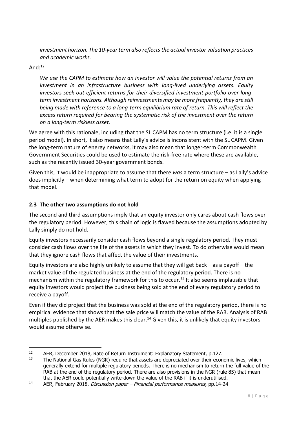*investment horizon. The 10-year term also reflects the actual investor valuation practices and academic works.*

#### And: $12$

*We use the CAPM to estimate how an investor will value the potential returns from an investment in an infrastructure business with long-lived underlying assets. Equity investors seek out efficient returns for their diversified investment portfolio over longterm investment horizons. Although reinvestments may be more frequently, they are still being made with reference to a long-term equilibrium rate of return. This will reflect the excess return required for bearing the systematic risk of the investment over the return on a long-term riskless asset.*

We agree with this rationale, including that the SL CAPM has no term structure (i.e. it is a single period model). In short, it also means that Lally's advice is inconsistent with the SL CAPM. Given the long-term nature of energy networks, it may also mean that longer-term Commonwealth Government Securities could be used to estimate the risk-free rate where these are available, such as the recently issued 30-year government bonds.

Given this, it would be inappropriate to assume that there *was* a term structure – as Lally's advice does implicitly – when determining what term to adopt for the return on equity when applying that model.

#### **2.3 The other two assumptions do not hold**

The second and third assumptions imply that an equity investor only cares about cash flows over the regulatory period. However, this chain of logic is flawed because the assumptions adopted by Lally simply do not hold.

Equity investors necessarily consider cash flows beyond a single regulatory period. They must consider cash flows over the life of the assets in which they invest. To do otherwise would mean that they ignore cash flows that affect the value of their investments.

Equity investors are also highly unlikely to assume that they will get back – as a payoff – the market value of the regulated business at the end of the regulatory period. There is no mechanism within the regulatory framework for this to occur.<sup>13</sup> It also seems implausible that equity investors would project the business being sold at the end of every regulatory period to receive a payoff.

Even if they did project that the business was sold at the end of the regulatory period, there is no empirical evidence that shows that the sale price will match the value of the RAB. Analysis of RAB multiples published by the AER makes this clear.<sup>14</sup> Given this, it is unlikely that equity investors would assume otherwise.

<sup>&</sup>lt;sup>12</sup> AER, December 2018, Rate of Return Instrument: Explanatory Statement, p.127.<br><sup>13</sup> The National Gas Rules (NGR) require that assets are depreciated over their econ

The National Gas Rules (NGR) require that assets are depreciated over their economic lives, which generally extend for multiple regulatory periods. There is no mechanism to return the full value of the RAB at the end of the regulatory period. There are also provisions in the NGR (rule 85) that mean that the AER could potentially write-down the value of the RAB if it is underutilised.

<sup>&</sup>lt;sup>14</sup> AER, February 2018, *Discussion paper – Financial performance measures*, pp.14-24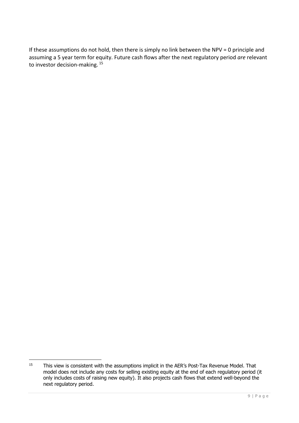If these assumptions do not hold, then there is simply no link between the NPV = 0 principle and assuming a 5 year term for equity. Future cash flows after the next regulatory period *are* relevant to investor decision-making.<sup>15</sup>

<sup>&</sup>lt;sup>15</sup> This view is consistent with the assumptions implicit in the AER's Post-Tax Revenue Model. That model does not include any costs for selling existing equity at the end of each regulatory period (it only includes costs of raising new equity). It also projects cash flows that extend well-beyond the next regulatory period.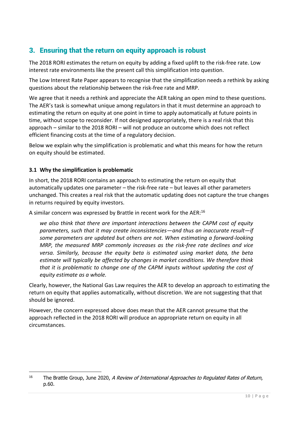### 3. Ensuring that the return on equity approach is robust

The 2018 RORI estimates the return on equity by adding a fixed uplift to the risk-free rate. Low interest rate environments like the present call this simplification into question.

The Low Interest Rate Paper appears to recognise that the simplification needs a rethink by asking questions about the relationship between the risk-free rate and MRP.

We agree that it needs a rethink and appreciate the AER taking an open mind to these questions. The AER's task is somewhat unique among regulators in that it must determine an approach to estimating the return on equity at one point in time to apply automatically at future points in time, without scope to reconsider. If not designed appropriately, there is a real risk that this approach – similar to the 2018 RORI – will not produce an outcome which does not reflect efficient financing costs at the time of a regulatory decision.

Below we explain why the simplification is problematic and what this means for how the return on equity should be estimated.

#### **3.1 Why the simplification is problematic**

In short, the 2018 RORI contains an approach to estimating the return on equity that automatically updates one parameter – the risk-free rate – but leaves all other parameters unchanged. This creates a real risk that the automatic updating does not capture the true changes in returns required by equity investors.

A similar concern was expressed by Brattle in recent work for the AER:<sup>16</sup>

*we also think that there are important interactions between the CAPM cost of equity parameters, such that it may create inconsistencies—and thus an inaccurate result—if some parameters are updated but others are not. When estimating a forward-looking MRP, the measured MRP commonly increases as the risk-free rate declines and vice versa. Similarly, because the equity beta is estimated using market data, the beta estimate will typically be affected by changes in market conditions. We therefore think that it is problematic to change one of the CAPM inputs without updating the cost of equity estimate as a whole.*

Clearly, however, the National Gas Law requires the AER to develop an approach to estimating the return on equity that applies automatically, without discretion. We are not suggesting that that should be ignored.

However, the concern expressed above does mean that the AER cannot presume that the approach reflected in the 2018 RORI will produce an appropriate return on equity in all circumstances.

<sup>&</sup>lt;sup>16</sup> The Brattle Group, June 2020, A Review of International Approaches to Regulated Rates of Return, p.60.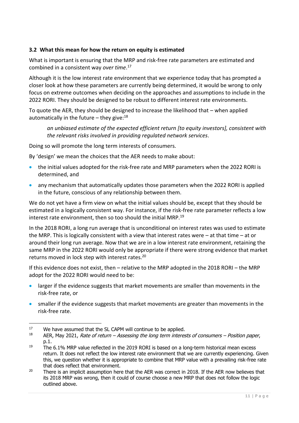#### **3.2 What this mean for how the return on equity is estimated**

What is important is ensuring that the MRP and risk-free rate parameters are estimated and combined in a consistent way *over time*. 17

Although it is the low interest rate environment that we experience today that has prompted a closer look at how these parameters are currently being determined, it would be wrong to only focus on extreme outcomes when deciding on the approaches and assumptions to include in the 2022 RORI. They should be designed to be robust to different interest rate environments.

To quote the AER, they should be designed to increase the likelihood that – when applied automatically in the future – they give: $^{18}$ 

*an unbiased estimate of the expected efficient return [to equity investors], consistent with the relevant risks involved in providing regulated network services*.

Doing so will promote the long term interests of consumers.

By 'design' we mean the choices that the AER needs to make about:

- the initial values adopted for the risk-free rate and MRP parameters when the 2022 RORI is determined, and
- any mechanism that automatically updates those parameters when the 2022 RORI is applied in the future, conscious of any relationship between them.

We do not yet have a firm view on what the initial values should be, except that they should be estimated in a logically consistent way. For instance, if the risk-free rate parameter reflects a low interest rate environment, then so too should the initial MRP.<sup>19</sup>

In the 2018 RORI, a long run average that is unconditional on interest rates was used to estimate the MRP. This is logically consistent with a view that interest rates were  $-$  at that time  $-$  at or around their long run average. Now that we are in a low interest rate environment, retaining the same MRP in the 2022 RORI would only be appropriate if there were strong evidence that market returns moved in lock step with interest rates.<sup>20</sup>

If this evidence does not exist, then – relative to the MRP adopted in the 2018 RORI – the MRP adopt for the 2022 RORI would need to be:

- **I.** larger if the evidence suggests that market movements are smaller than movements in the risk-free rate, or
- smaller if the evidence suggests that market movements are greater than movements in the risk-free rate.

<sup>&</sup>lt;sup>17</sup> We have assumed that the SL CAPM will continue to be applied.

<sup>18</sup> AER, May 2021, Rate of return – Assessing the long term interests of consumers – Position paper, p.1.

 $19$  The 6.1% MRP value reflected in the 2019 RORI is based on a long-term historical mean excess return. It does not reflect the low interest rate environment that we are currently experiencing. Given this, we question whether it is appropriate to combine that MRP value with a prevailing risk-free rate that does reflect that environment.

<sup>&</sup>lt;sup>20</sup> There is an implicit assumption here that the AER was correct in 2018. If the AER now believes that its 2018 MRP was wrong, then it could of course choose a new MRP that does not follow the logic outlined above.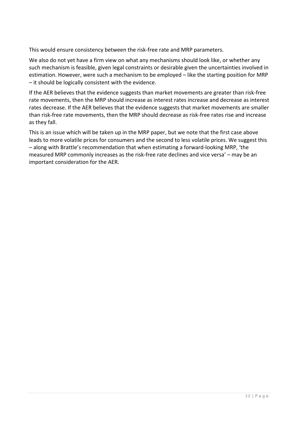This would ensure consistency between the risk-free rate and MRP parameters.

We also do not yet have a firm view on what any mechanisms should look like, or whether any such mechanism is feasible, given legal constraints or desirable given the uncertainties involved in estimation. However, were such a mechanism to be employed – like the starting position for MRP – it should be logically consistent with the evidence.

If the AER believes that the evidence suggests than market movements are greater than risk-free rate movements, then the MRP should increase as interest rates increase and decrease as interest rates decrease. If the AER believes that the evidence suggests that market movements are smaller than risk-free rate movements, then the MRP should decrease as risk-free rates rise and increase as they fall.

This is an issue which will be taken up in the MRP paper, but we note that the first case above leads to more volatile prices for consumers and the second to less volatile prices. We suggest this – along with Brattle's recommendation that when estimating a forward-looking MRP, 'the measured MRP commonly increases as the risk-free rate declines and vice versa' – may be an important consideration for the AER.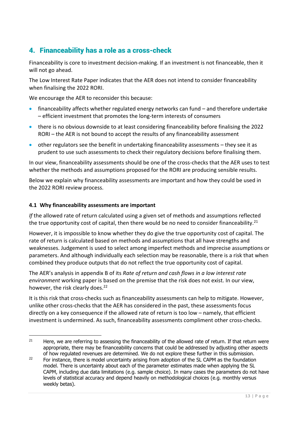### 4. Financeability has a role as a cross-check

Financeability is core to investment decision-making. If an investment is not financeable, then it will not go ahead.

The Low Interest Rate Paper indicates that the AER does not intend to consider financeability when finalising the 2022 RORI.

We encourage the AER to reconsider this because:

- financeability affects whether regulated energy networks can fund and therefore undertake – efficient investment that promotes the long-term interests of consumers
- there is no obvious downside to at least considering financeability before finalising the 2022 RORI – the AER is not bound to accept the results of any financeability assessment
- other regulators see the benefit in undertaking financeability assessments they see it as prudent to use such assessments to check their regulatory decisions before finalising them.

In our view, financeability assessments should be one of the cross-checks that the AER uses to test whether the methods and assumptions proposed for the RORI are producing sensible results.

Below we explain why financeability assessments are important and how they could be used in the 2022 RORI review process.

#### **4.1 Why financeability assessments are important**

*If* the allowed rate of return calculated using a given set of methods and assumptions reflected the true opportunity cost of capital, then there would be no need to consider financeability.<sup>21</sup>

However, it is impossible to know whether they do give the true opportunity cost of capital. The rate of return is calculated based on methods and assumptions that all have strengths and weaknesses. Judgement is used to select among imperfect methods and imprecise assumptions or parameters. And although individually each selection may be reasonable, there is a risk that when combined they produce outputs that do not reflect the true opportunity cost of capital.

The AER's analysis in appendix B of its *Rate of return and cash flows in a low interest rate environment* working paper is based on the premise that the risk does not exist. In our view, however, the risk clearly does.<sup>22</sup>

It is this risk that cross-checks such as financeability assessments can help to mitigate. However, unlike other cross-checks that the AER has considered in the past, these assessments focus directly on a key consequence if the allowed rate of return is too low – namely, that efficient investment is undermined. As such, financeability assessments compliment other cross-checks.

<sup>&</sup>lt;sup>21</sup> Here, we are referring to assessing the financeability of the allowed rate of return. If that return were appropriate, there may be financeability concerns that could be addressed by adjusting other aspects of how regulated revenues are determined. We do not explore these further in this submission.

<sup>&</sup>lt;sup>22</sup> For instance, there is model uncertainty arising from adoption of the SL CAPM as the foundation model. There is uncertainty about each of the parameter estimates made when applying the SL CAPM, including due data limitations (e.g. sample choice). In many cases the parameters do not have levels of statistical accuracy and depend heavily on methodological choices (e.g. monthly versus weekly betas).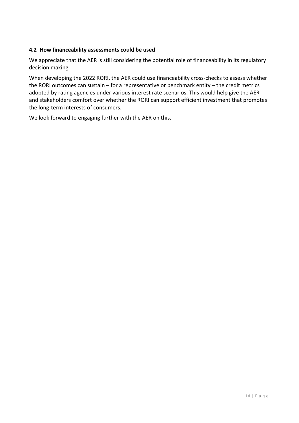#### **4.2 How financeability assessments could be used**

We appreciate that the AER is still considering the potential role of financeability in its regulatory decision making.

When developing the 2022 RORI, the AER could use financeability cross-checks to assess whether the RORI outcomes can sustain – for a representative or benchmark entity – the credit metrics adopted by rating agencies under various interest rate scenarios. This would help give the AER and stakeholders comfort over whether the RORI can support efficient investment that promotes the long-term interests of consumers.

We look forward to engaging further with the AER on this.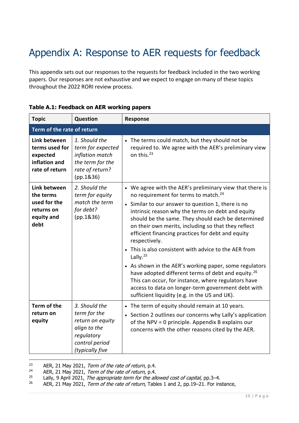## Appendix A: Response to AER requests for feedback

This appendix sets out our responses to the requests for feedback included in the two working papers. Our responses are not exhaustive and we expect to engage on many of these topics throughout the 2022 RORI review process.

| <b>Topic</b>                                                                  | Question                                                                                                             | Response                                                                                                                                                                                                                                                                                                                                                                                                                                                                                                                                                                                                                                                                                                                                                                              |  |  |
|-------------------------------------------------------------------------------|----------------------------------------------------------------------------------------------------------------------|---------------------------------------------------------------------------------------------------------------------------------------------------------------------------------------------------------------------------------------------------------------------------------------------------------------------------------------------------------------------------------------------------------------------------------------------------------------------------------------------------------------------------------------------------------------------------------------------------------------------------------------------------------------------------------------------------------------------------------------------------------------------------------------|--|--|
|                                                                               | Term of the rate of return                                                                                           |                                                                                                                                                                                                                                                                                                                                                                                                                                                                                                                                                                                                                                                                                                                                                                                       |  |  |
| Link between<br>terms used for<br>expected<br>inflation and<br>rate of return | 1. Should the<br>term for expected<br>inflation match<br>the term for the<br>rate of return?<br>(pp.1836)            | • The terms could match, but they should not be<br>required to. We agree with the AER's preliminary view<br>on this. <sup>23</sup>                                                                                                                                                                                                                                                                                                                                                                                                                                                                                                                                                                                                                                                    |  |  |
| Link between<br>the terms<br>used for the<br>returns on<br>equity and<br>debt | 2. Should the<br>term for equity<br>match the term<br>for debt?<br>(pp.1836)                                         | • We agree with the AER's preliminary view that there is<br>no requirement for terms to match. <sup>24</sup><br>• Similar to our answer to question 1, there is no<br>intrinsic reason why the terms on debt and equity<br>should be the same. They should each be determined<br>on their own merits, including so that they reflect<br>efficient financing practices for debt and equity<br>respectively.<br>• This is also consistent with advice to the AER from<br>Lally. <sup>25</sup><br>• As shown in the AER's working paper, some regulators<br>have adopted different terms of debt and equity. <sup>26</sup><br>This can occur, for instance, where regulators have<br>access to data on longer-term government debt with<br>sufficient liquidity (e.g. in the US and UK). |  |  |
| Term of the<br>return on<br>equity                                            | 3. Should the<br>term for the<br>return on equity<br>align to the<br>regulatory<br>control period<br>(typically five | • The term of equity should remain at 10 years.<br>• Section 2 outlines our concerns why Lally's application<br>of the NPV = 0 principle. Appendix B explains our<br>concerns with the other reasons cited by the AER.                                                                                                                                                                                                                                                                                                                                                                                                                                                                                                                                                                |  |  |

#### **Table A.1: Feedback on AER working papers**

<sup>&</sup>lt;sup>23</sup> AER, 21 May 2021, *Term of the rate of return*, p.4.<br><sup>24</sup> AER 21 May 2021, *Term of the rate of return* p.4

<sup>24</sup> AER, 21 May 2021, *Term of the rate of return*, p.4.<br>25 Lally 9 April 2021, *The appropriate term for the ally* 

<sup>25</sup> Lally, 9 April 2021, *The appropriate term for the allowed cost of capital*, pp.3–4.<br>26 AFP 21 May 2021, *Term of the rate of return* Tables 1 and 2, pp.19–21. For ins

AER, 21 May 2021, Term of the rate of return, Tables 1 and 2, pp.19–21. For instance,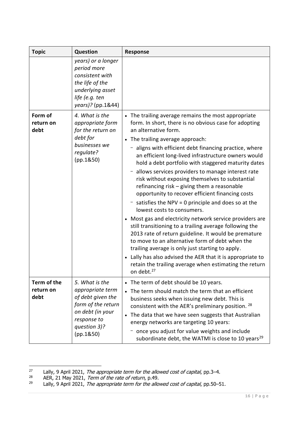| <b>Topic</b>                     | <b>Question</b>                                                                                                                               | <b>Response</b>                                                                                                                                                                                                                                                                                                                                                                                                                                                                                                                                                                                                                                                                                                                                                                                                                                                                                                                                                                                                                                                                         |
|----------------------------------|-----------------------------------------------------------------------------------------------------------------------------------------------|-----------------------------------------------------------------------------------------------------------------------------------------------------------------------------------------------------------------------------------------------------------------------------------------------------------------------------------------------------------------------------------------------------------------------------------------------------------------------------------------------------------------------------------------------------------------------------------------------------------------------------------------------------------------------------------------------------------------------------------------------------------------------------------------------------------------------------------------------------------------------------------------------------------------------------------------------------------------------------------------------------------------------------------------------------------------------------------------|
|                                  | years) or a longer<br>period more<br>consistent with<br>the life of the<br>underlying asset<br>life (e.g. ten<br>years)? (pp.1&44)            |                                                                                                                                                                                                                                                                                                                                                                                                                                                                                                                                                                                                                                                                                                                                                                                                                                                                                                                                                                                                                                                                                         |
| Form of<br>return on<br>debt     | 4. What is the<br>appropriate form<br>for the return on<br>debt for<br>businesses we<br>regulate?<br>(pp.1850)                                | • The trailing average remains the most appropriate<br>form. In short, there is no obvious case for adopting<br>an alternative form.<br>The trailing average approach:<br>aligns with efficient debt financing practice, where<br>an efficient long-lived infrastructure owners would<br>hold a debt portfolio with staggered maturity dates<br>allows services providers to manage interest rate<br>risk without exposing themselves to substantial<br>refinancing risk $-$ giving them a reasonable<br>opportunity to recover efficient financing costs<br>satisfies the $NPV = 0$ principle and does so at the<br>lowest costs to consumers.<br>• Most gas and electricity network service providers are<br>still transitioning to a trailing average following the<br>2013 rate of return guideline. It would be premature<br>to move to an alternative form of debt when the<br>trailing average is only just starting to apply.<br>• Lally has also advised the AER that it is appropriate to<br>retain the trailing average when estimating the return<br>on debt. <sup>27</sup> |
| Term of the<br>return on<br>debt | 5. What is the<br>appropriate term<br>of debt given the<br>form of the return<br>on debt (in your<br>response to<br>question 3)?<br>(pp.1850) | The term of debt should be 10 years.<br>$\bullet$<br>The term should match the term that an efficient<br>business seeks when issuing new debt. This is<br>consistent with the AER's preliminary position. 28<br>• The data that we have seen suggests that Australian<br>energy networks are targeting 10 years:<br>once you adjust for value weights and include<br>subordinate debt, the WATMI is close to 10 years <sup>29</sup>                                                                                                                                                                                                                                                                                                                                                                                                                                                                                                                                                                                                                                                     |

<sup>&</sup>lt;sup>27</sup> Lally, 9 April 2021, *The appropriate term for the allowed cost of capital*, pp.3–4.

 $28$  AER, 21 May 2021, Term of the rate of return, p.49.

<sup>&</sup>lt;sup>29</sup> Lally, 9 April 2021, *The appropriate term for the allowed cost of capital*, pp.50–51.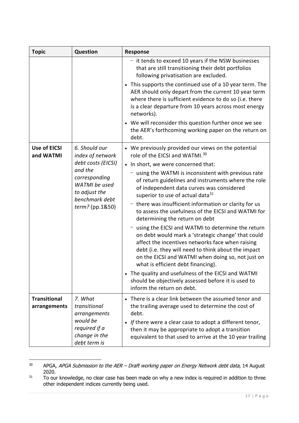| <b>Topic</b>                        | <b>Question</b>                                                                                 | <b>Response</b>                                                                                                                                                                                                                                                                                               |
|-------------------------------------|-------------------------------------------------------------------------------------------------|---------------------------------------------------------------------------------------------------------------------------------------------------------------------------------------------------------------------------------------------------------------------------------------------------------------|
|                                     |                                                                                                 | - it tends to exceed 10 years if the NSW businesses<br>that are still transitioning their debt portfolios<br>following privatisation are excluded.                                                                                                                                                            |
|                                     |                                                                                                 | • This supports the continued use of a 10 year term. The<br>AER should only depart from the current 10 year term<br>where there is sufficient evidence to do so (i.e. there<br>is a clear departure from 10 years across most energy<br>networks).                                                            |
|                                     |                                                                                                 | • We will reconsider this question further once we see<br>the AER's forthcoming working paper on the return on<br>debt.                                                                                                                                                                                       |
| <b>Use of EICSI</b><br>and WATMI    | 6. Should our<br>index of network                                                               | • We previously provided our views on the potential<br>role of the EICSI and WATMI. <sup>30</sup>                                                                                                                                                                                                             |
|                                     | debt costs (EICSI)                                                                              | • In short, we were concerned that:                                                                                                                                                                                                                                                                           |
|                                     | and the<br>corresponding<br>WATMI be used<br>to adjust the<br>benchmark debt<br>term? (pp.1&50) | using the WATMI is inconsistent with previous rate<br>of return guidelines and instruments where the role<br>of independent data curves was considered<br>superior to use of actual data <sup>31</sup>                                                                                                        |
|                                     |                                                                                                 | there was insufficient information or clarity for us<br>to assess the usefulness of the EICSI and WATMI for<br>determining the return on debt                                                                                                                                                                 |
|                                     |                                                                                                 | using the EICSI and WATMI to determine the return<br>on debt would mark a 'strategic change' that could<br>affect the incentives networks face when raising<br>debt (i.e. they will need to think about the impact<br>on the EICSI and WATMI when doing so, not just on<br>what is efficient debt financing). |
|                                     |                                                                                                 | • The quality and usefulness of the EICSI and WATMI<br>should be objectively assessed before it is used to<br>inform the return on debt.                                                                                                                                                                      |
| <b>Transitional</b><br>arrangements | 7. What<br>transitional<br>arrangements                                                         | • There is a clear link between the assumed tenor and<br>the trailing average used to determine the cost of<br>debt.                                                                                                                                                                                          |
|                                     | would be<br>required if a<br>change in the<br>debt term is                                      | • If there were a clear case to adopt a different tenor,<br>then it may be appropriate to adopt a transition<br>equivalent to that used to arrive at the 10 year trailing                                                                                                                                     |

<sup>&</sup>lt;sup>30</sup> APGA, APGA Submission to the AER – Draft working paper on Energy Network debt data, 14 August 2020.

 $31$  To our knowledge, no clear case has been made on why a new index is required in addition to three other independent indices currently being used.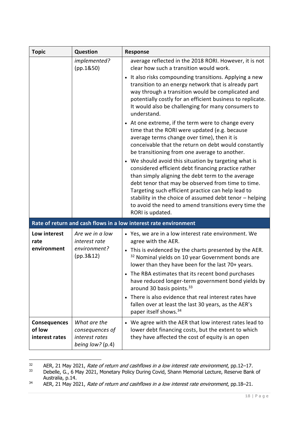| <b>Topic</b>                                    | Question                                                                | <b>Response</b>                                                                                                                                                                                                                                                                                                                                                                                                                                                               |
|-------------------------------------------------|-------------------------------------------------------------------------|-------------------------------------------------------------------------------------------------------------------------------------------------------------------------------------------------------------------------------------------------------------------------------------------------------------------------------------------------------------------------------------------------------------------------------------------------------------------------------|
|                                                 | implemented?<br>(pp.1850)                                               | average reflected in the 2018 RORI. However, it is not<br>clear how such a transition would work.                                                                                                                                                                                                                                                                                                                                                                             |
|                                                 |                                                                         | • It also risks compounding transitions. Applying a new<br>transition to an energy network that is already part<br>way through a transition would be complicated and<br>potentially costly for an efficient business to replicate.<br>It would also be challenging for many consumers to<br>understand.                                                                                                                                                                       |
|                                                 |                                                                         | • At one extreme, if the term were to change every<br>time that the RORI were updated (e.g. because<br>average terms change over time), then it is<br>conceivable that the return on debt would constantly<br>be transitioning from one average to another.                                                                                                                                                                                                                   |
|                                                 |                                                                         | • We should avoid this situation by targeting what is<br>considered efficient debt financing practice rather<br>than simply aligning the debt term to the average<br>debt tenor that may be observed from time to time.<br>Targeting such efficient practice can help lead to<br>stability in the choice of assumed debt tenor - helping<br>to avoid the need to amend transitions every time the<br>RORI is updated.                                                         |
|                                                 |                                                                         | Rate of return and cash flows in a low interest rate environment                                                                                                                                                                                                                                                                                                                                                                                                              |
| Low interest<br>rate                            | Are we in a low<br>interest rate                                        | • Yes, we are in a low interest rate environment. We<br>agree with the AER.                                                                                                                                                                                                                                                                                                                                                                                                   |
| environment                                     | environment?<br>(pp.3&12)                                               | • This is evidenced by the charts presented by the AER.<br><sup>32</sup> Nominal yields on 10 year Government bonds are<br>lower than they have been for the last 70+ years.<br>• The RBA estimates that its recent bond purchases<br>have reduced longer-term government bond yields by<br>around 30 basis points. 33<br>• There is also evidence that real interest rates have<br>fallen over at least the last 30 years, as the AER's<br>paper itself shows. <sup>34</sup> |
| <b>Consequences</b><br>of low<br>interest rates | What are the<br>consequences of<br>interest rates<br>being low? $(p.4)$ | • We agree with the AER that low interest rates lead to<br>lower debt financing costs, but the extent to which<br>they have affected the cost of equity is an open                                                                                                                                                                                                                                                                                                            |

<sup>32</sup> AER, 21 May 2021, Rate of return and cashflows in a low interest rate environment, pp.12–17.<br>33 Debelle G. 6 May 2021, Monetary Policy During Covid, Shann Memorial Lecture, Reserve Bank

Debelle, G., 6 May 2021, Monetary Policy During Covid, Shann Memorial Lecture, Reserve Bank of Australia, p.14.

 $34$  AER, 21 May 2021, Rate of return and cashflows in a low interest rate environment, pp.18–21.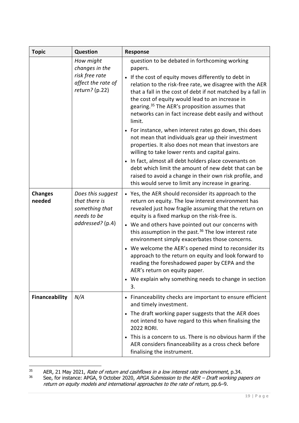| <b>Topic</b>             | Question                                                                                | <b>Response</b>                                                                                                                                                                                                                                                                                                                                                                                                                                                                                                                                                                                                                                                                                                                                                                                                                                                                           |
|--------------------------|-----------------------------------------------------------------------------------------|-------------------------------------------------------------------------------------------------------------------------------------------------------------------------------------------------------------------------------------------------------------------------------------------------------------------------------------------------------------------------------------------------------------------------------------------------------------------------------------------------------------------------------------------------------------------------------------------------------------------------------------------------------------------------------------------------------------------------------------------------------------------------------------------------------------------------------------------------------------------------------------------|
|                          | How might<br>changes in the<br>risk free rate<br>affect the rate of<br>$return?$ (p.22) | question to be debated in forthcoming working<br>papers.<br>• If the cost of equity moves differently to debt in<br>relation to the risk-free rate, we disagree with the AER<br>that a fall in the cost of debt if not matched by a fall in<br>the cost of equity would lead to an increase in<br>gearing. <sup>35</sup> The AER's proposition assumes that<br>networks can in fact increase debt easily and without<br>limit.<br>• For instance, when interest rates go down, this does<br>not mean that individuals gear up their investment<br>properties. It also does not mean that investors are<br>willing to take lower rents and capital gains.<br>• In fact, almost all debt holders place covenants on<br>debt which limit the amount of new debt that can be<br>raised to avoid a change in their own risk profile, and<br>this would serve to limit any increase in gearing. |
| <b>Changes</b><br>needed | Does this suggest<br>that there is<br>something that<br>needs to be<br>addressed? (p.4) | • Yes, the AER should reconsider its approach to the<br>return on equity. The low interest environment has<br>revealed just how fragile assuming that the return on<br>equity is a fixed markup on the risk-free is.<br>• We and others have pointed out our concerns with<br>this assumption in the past. <sup>36</sup> The low interest rate<br>environment simply exacerbates those concerns.<br>• We welcome the AER's opened mind to reconsider its<br>approach to the return on equity and look forward to<br>reading the foreshadowed paper by CEPA and the<br>AER's return on equity paper.<br>• We explain why something needs to change in section<br>3.                                                                                                                                                                                                                        |
| <b>Financeability</b>    | N/A                                                                                     | • Financeability checks are important to ensure efficient<br>and timely investment.<br>• The draft working paper suggests that the AER does<br>not intend to have regard to this when finalising the<br>2022 RORI.<br>• This is a concern to us. There is no obvious harm if the<br>AER considers financeability as a cross check before<br>finalising the instrument.                                                                                                                                                                                                                                                                                                                                                                                                                                                                                                                    |

<sup>&</sup>lt;sup>35</sup> AER, 21 May 2021, Rate of return and cashflows in a low interest rate environment, p.34.

<sup>&</sup>lt;sup>36</sup> See, for instance: APGA, 9 October 2020, APGA Submission to the AER – Draft working papers on return on equity models and international approaches to the rate of return, pp.6–9.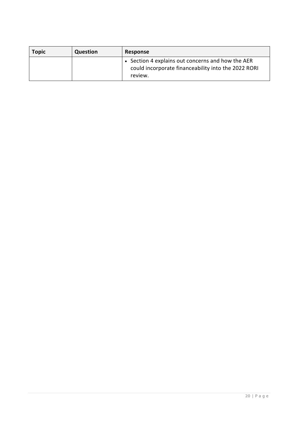| <b>Topic</b> | <b>Question</b> | Response                                                                                                            |
|--------------|-----------------|---------------------------------------------------------------------------------------------------------------------|
|              |                 | • Section 4 explains out concerns and how the AER<br>could incorporate financeability into the 2022 RORI<br>review. |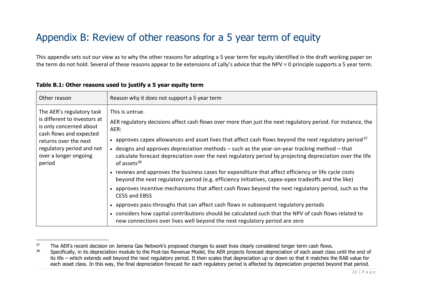## Appendix B: Review of other reasons for a 5 year term of equity

This appendix sets out our view as to why the other reasons for adopting a 5 year term for equity identified in the draft working paper on the term do not hold. Several of these reasons appear to be extensions of Lally's advice that the NPV = 0 principle supports a 5 year term.

| Other reason                                                                                                                                                                                             | Reason why it does not support a 5 year term                                                                                                                                                                                                                                                                                                                                                                                                                                                                                                                                                                                                                                                                                                                                                                                                                                                                                                     |
|----------------------------------------------------------------------------------------------------------------------------------------------------------------------------------------------------------|--------------------------------------------------------------------------------------------------------------------------------------------------------------------------------------------------------------------------------------------------------------------------------------------------------------------------------------------------------------------------------------------------------------------------------------------------------------------------------------------------------------------------------------------------------------------------------------------------------------------------------------------------------------------------------------------------------------------------------------------------------------------------------------------------------------------------------------------------------------------------------------------------------------------------------------------------|
| The AER's regulatory task<br>is different to investors at<br>is only concerned about<br>cash flows and expected<br>returns over the next<br>regulatory period and not<br>over a longer ongoing<br>period | This is untrue.<br>AER regulatory decisions affect cash flows over more than just the next regulatory period. For instance, the<br>AER:<br>• approves capex allowances and asset lives that affect cash flows beyond the next regulatory period $3^7$<br>$\bullet$ designs and approves depreciation methods $-$ such as the year-on-year tracking method $-$ that<br>calculate forecast depreciation over the next regulatory period by projecting depreciation over the life<br>of assets <sup>38</sup><br>• reviews and approves the business cases for expenditure that affect efficiency or life cycle costs<br>beyond the next regulatory period (e.g. efficiency initiatives, capex-opex tradeoffs and the like)<br>• approves incentive mechanisms that affect cash flows beyond the next regulatory period, such as the<br><b>CESS and EBSS</b><br>• approves pass-throughs that can affect cash flows in subsequent regulatory periods |
|                                                                                                                                                                                                          | • considers how capital contributions should be calculated such that the NPV of cash flows related to<br>new connections over lives well beyond the next regulatory period are zero                                                                                                                                                                                                                                                                                                                                                                                                                                                                                                                                                                                                                                                                                                                                                              |

#### **Table B.1: Other reasons used to justify a 5 year equity term**

<sup>&</sup>lt;sup>37</sup> The AER's recent decision on Jemena Gas Network's proposed changes to asset lives clearly considered longer term cash flows.

<sup>&</sup>lt;sup>38</sup> Specifically, in its depreciation module to the Post-tax Revenue Model, the AER projects forecast depreciation of each asset class until the end of its life – which extends well beyond the next regulatory period. It then scales that depreciation up or down so that it matches the RAB value for each asset class. In this way, the final depreciation forecast for each regulatory period is affected by depreciation projected beyond that period.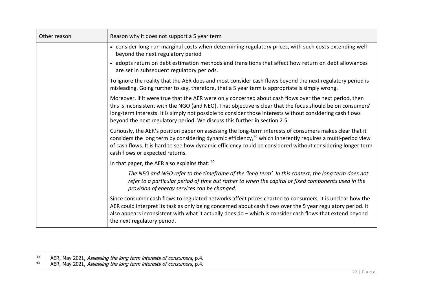| Other reason | Reason why it does not support a 5 year term                                                                                                                                                                                                                                                                                                                                                                     |  |
|--------------|------------------------------------------------------------------------------------------------------------------------------------------------------------------------------------------------------------------------------------------------------------------------------------------------------------------------------------------------------------------------------------------------------------------|--|
|              | • consider long-run marginal costs when determining regulatory prices, with such costs extending well-<br>beyond the next regulatory period                                                                                                                                                                                                                                                                      |  |
|              | • adopts return on debt estimation methods and transitions that affect how return on debt allowances<br>are set in subsequent regulatory periods.                                                                                                                                                                                                                                                                |  |
|              | To ignore the reality that the AER does and most consider cash flows beyond the next regulatory period is<br>misleading. Going further to say, therefore, that a 5 year term is appropriate is simply wrong.                                                                                                                                                                                                     |  |
|              | Moreover, if it were true that the AER were only concerned about cash flows over the next period, then<br>this is inconsistent with the NGO (and NEO). That objective is clear that the focus should be on consumers'<br>long-term interests. It is simply not possible to consider those interests without considering cash flows<br>beyond the next regulatory period. We discuss this further in section 2.5. |  |
|              | Curiously, the AER's position paper on assessing the long-term interests of consumers makes clear that it<br>considers the long term by considering dynamic efficiency, <sup>39</sup> which inherently requires a multi-period view<br>of cash flows. It is hard to see how dynamic efficiency could be considered without considering longer term<br>cash flows or expected returns.                            |  |
|              | In that paper, the AER also explains that: 40                                                                                                                                                                                                                                                                                                                                                                    |  |
|              | The NEO and NGO refer to the timeframe of the 'long term'. In this context, the long term does not<br>refer to a particular period of time but rather to when the capital or fixed components used in the<br>provision of energy services can be changed.                                                                                                                                                        |  |
|              | Since consumer cash flows to regulated networks affect prices charted to consumers, it is unclear how the<br>AER could interpret its task as only being concerned about cash flows over the 5 year regulatory period. It<br>also appears inconsistent with what it actually does do - which is consider cash flows that extend beyond<br>the next regulatory period.                                             |  |

<sup>&</sup>lt;sup>39</sup> AER, May 2021, Assessing the long term interests of consumers, p.4.

<sup>&</sup>lt;sup>40</sup> AER, May 2021, Assessing the long term interests of consumers, p.4.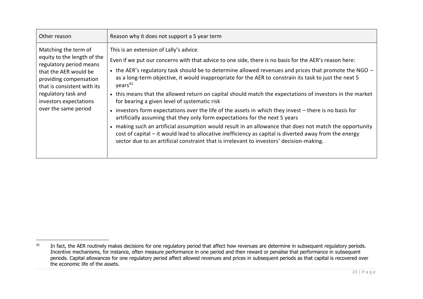| Other reason                                                                                                                                                                                                                              | Reason why it does not support a 5 year term                                                                                                                                                                                                                                                                                                                                                                                                                                                                                                                                                                                                                                                                                                                                                                                                                                                                                                                                                                                                                            |
|-------------------------------------------------------------------------------------------------------------------------------------------------------------------------------------------------------------------------------------------|-------------------------------------------------------------------------------------------------------------------------------------------------------------------------------------------------------------------------------------------------------------------------------------------------------------------------------------------------------------------------------------------------------------------------------------------------------------------------------------------------------------------------------------------------------------------------------------------------------------------------------------------------------------------------------------------------------------------------------------------------------------------------------------------------------------------------------------------------------------------------------------------------------------------------------------------------------------------------------------------------------------------------------------------------------------------------|
| Matching the term of<br>equity to the length of the<br>regulatory period means<br>that the AER would be<br>providing compensation<br>that is consistent with its<br>regulatory task and<br>investors expectations<br>over the same period | This is an extension of Lally's advice.<br>Even if we put our concerns with that advice to one side, there is no basis for the AER's reason here:<br>• the AER's regulatory task should be to determine allowed revenues and prices that promote the NGO $-$<br>as a long-term objective, it would inappropriate for the AER to constrain its task to just the next 5<br>years <sup>41</sup><br>• this means that the allowed return on capital should match the expectations of investors in the market<br>for bearing a given level of systematic risk<br>• investors form expectations over the life of the assets in which they invest - there is no basis for<br>artificially assuming that they only form expectations for the next 5 years<br>making such an artificial assumption would result in an allowance that does not match the opportunity<br>cost of capital – it would lead to allocative <i>inefficiency</i> as capital is diverted away from the energy<br>sector due to an artificial constraint that is irrelevant to investors' decision-making. |

<sup>&</sup>lt;sup>41</sup> In fact, the AER routinely makes decisions for one regulatory period that affect how revenues are determine in subsequent regulatory periods. Incentive mechanisms, for instance, often measure performance in one period and then reward or penalise that performance in subsequent periods. Capital allowances for one regulatory period affect allowed revenues and prices in subsequent periods as that capital is recovered over the economic life of the assets.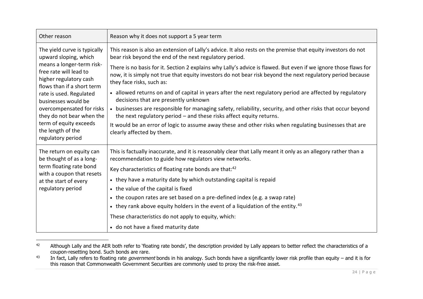| Other reason                                                                                                                                                                                                                                                                                                                                         | Reason why it does not support a 5 year term                                                                                                                                                                                                                                                                                                                                                                                                                                                                                                                                                                                                                                                                                                                                                                                                                                                                             |
|------------------------------------------------------------------------------------------------------------------------------------------------------------------------------------------------------------------------------------------------------------------------------------------------------------------------------------------------------|--------------------------------------------------------------------------------------------------------------------------------------------------------------------------------------------------------------------------------------------------------------------------------------------------------------------------------------------------------------------------------------------------------------------------------------------------------------------------------------------------------------------------------------------------------------------------------------------------------------------------------------------------------------------------------------------------------------------------------------------------------------------------------------------------------------------------------------------------------------------------------------------------------------------------|
| The yield curve is typically<br>upward sloping, which<br>means a longer-term risk-<br>free rate will lead to<br>higher regulatory cash<br>flows than if a short term<br>rate is used. Regulated<br>businesses would be<br>overcompensated for risks<br>they do not bear when the<br>term of equity exceeds<br>the length of the<br>regulatory period | This reason is also an extension of Lally's advice. It also rests on the premise that equity investors do not<br>bear risk beyond the end of the next regulatory period.<br>There is no basis for it. Section 2 explains why Lally's advice is flawed. But even if we ignore those flaws for<br>now, it is simply not true that equity investors do not bear risk beyond the next regulatory period because<br>they face risks, such as:<br>• allowed returns on and of capital in years after the next regulatory period are affected by regulatory<br>decisions that are presently unknown<br>• businesses are responsible for managing safety, reliability, security, and other risks that occur beyond<br>the next regulatory period - and these risks affect equity returns.<br>It would be an error of logic to assume away these and other risks when regulating businesses that are<br>clearly affected by them. |
| The return on equity can<br>be thought of as a long-<br>term floating rate bond<br>with a coupon that resets<br>at the start of every<br>regulatory period                                                                                                                                                                                           | This is factually inaccurate, and it is reasonably clear that Lally meant it only as an allegory rather than a<br>recommendation to guide how regulators view networks.<br>Key characteristics of floating rate bonds are that: <sup>42</sup><br>• they have a maturity date by which outstanding capital is repaid<br>• the value of the capital is fixed<br>• the coupon rates are set based on a pre-defined index (e.g. a swap rate)<br>• they rank above equity holders in the event of a liquidation of the entity. $43$<br>These characteristics do not apply to equity, which:<br>• do not have a fixed maturity date                                                                                                                                                                                                                                                                                            |

<sup>&</sup>lt;sup>42</sup> Although Lally and the AER both refer to 'floating rate bonds', the description provided by Lally appears to better reflect the characteristics of a coupon-resetting bond. Such bonds are rare.

<sup>&</sup>lt;sup>43</sup> In fact, Lally refers to floating rate *government* bonds in his analogy. Such bonds have a significantly lower risk profile than equity – and it is for this reason that Commonwealth Government Securities are commonly used to proxy the risk-free asset.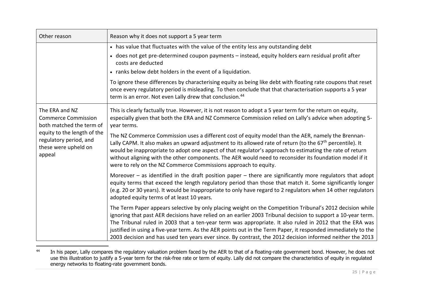| Other reason                                                                            | Reason why it does not support a 5 year term                                                                                                                                                                                                                                                                                                                                                                                                                                                                                                                       |  |  |
|-----------------------------------------------------------------------------------------|--------------------------------------------------------------------------------------------------------------------------------------------------------------------------------------------------------------------------------------------------------------------------------------------------------------------------------------------------------------------------------------------------------------------------------------------------------------------------------------------------------------------------------------------------------------------|--|--|
|                                                                                         | • has value that fluctuates with the value of the entity less any outstanding debt                                                                                                                                                                                                                                                                                                                                                                                                                                                                                 |  |  |
|                                                                                         | • does not get pre-determined coupon payments - instead, equity holders earn residual profit after<br>costs are deducted                                                                                                                                                                                                                                                                                                                                                                                                                                           |  |  |
|                                                                                         | • ranks below debt holders in the event of a liquidation.                                                                                                                                                                                                                                                                                                                                                                                                                                                                                                          |  |  |
|                                                                                         | To ignore these differences by characterising equity as being like debt with floating rate coupons that reset<br>once every regulatory period is misleading. To then conclude that that characterisation supports a 5 year<br>term is an error. Not even Lally drew that conclusion. <sup>44</sup>                                                                                                                                                                                                                                                                 |  |  |
| The ERA and NZ<br><b>Commerce Commission</b><br>both matched the term of                | This is clearly factually true. However, it is not reason to adopt a 5 year term for the return on equity,<br>especially given that both the ERA and NZ Commerce Commission relied on Lally's advice when adopting 5-<br>year terms.                                                                                                                                                                                                                                                                                                                               |  |  |
| equity to the length of the<br>regulatory period, and<br>these were upheld on<br>appeal | The NZ Commerce Commission uses a different cost of equity model than the AER, namely the Brennan-<br>Lally CAPM. It also makes an upward adjustment to its allowed rate of return (to the 67 <sup>th</sup> percentile). It<br>would be inappropriate to adopt one aspect of that regulator's approach to estimating the rate of return<br>without aligning with the other components. The AER would need to reconsider its foundation model if it<br>were to rely on the NZ Commerce Commissions approach to equity.                                              |  |  |
|                                                                                         | Moreover $-$ as identified in the draft position paper $-$ there are significantly more regulators that adopt<br>equity terms that exceed the length regulatory period than those that match it. Some significantly longer<br>(e.g. 20 or 30 years). It would be inappropriate to only have regard to 2 regulators when 14 other regulators<br>adopted equity terms of at least 10 years.                                                                                                                                                                          |  |  |
|                                                                                         | The Term Paper appears selective by only placing weight on the Competition Tribunal's 2012 decision while<br>ignoring that past AER decisions have relied on an earlier 2003 Tribunal decision to support a 10-year term.<br>The Tribunal ruled in 2003 that a ten-year term was appropriate. It also ruled in 2012 that the ERA was<br>justified in using a five-year term. As the AER points out in the Term Paper, it responded immediately to the<br>2003 decision and has used ten years ever since. By contrast, the 2012 decision informed neither the 2013 |  |  |

<sup>&</sup>lt;sup>44</sup> In his paper, Lally compares the regulatory valuation problem faced by the AER to that of a floating-rate government bond. However, he does not use this illustration to justify a 5-year term for the risk-free rate or term of equity. Lally did not compare the characteristics of equity in regulated energy networks to floating-rate government bonds.